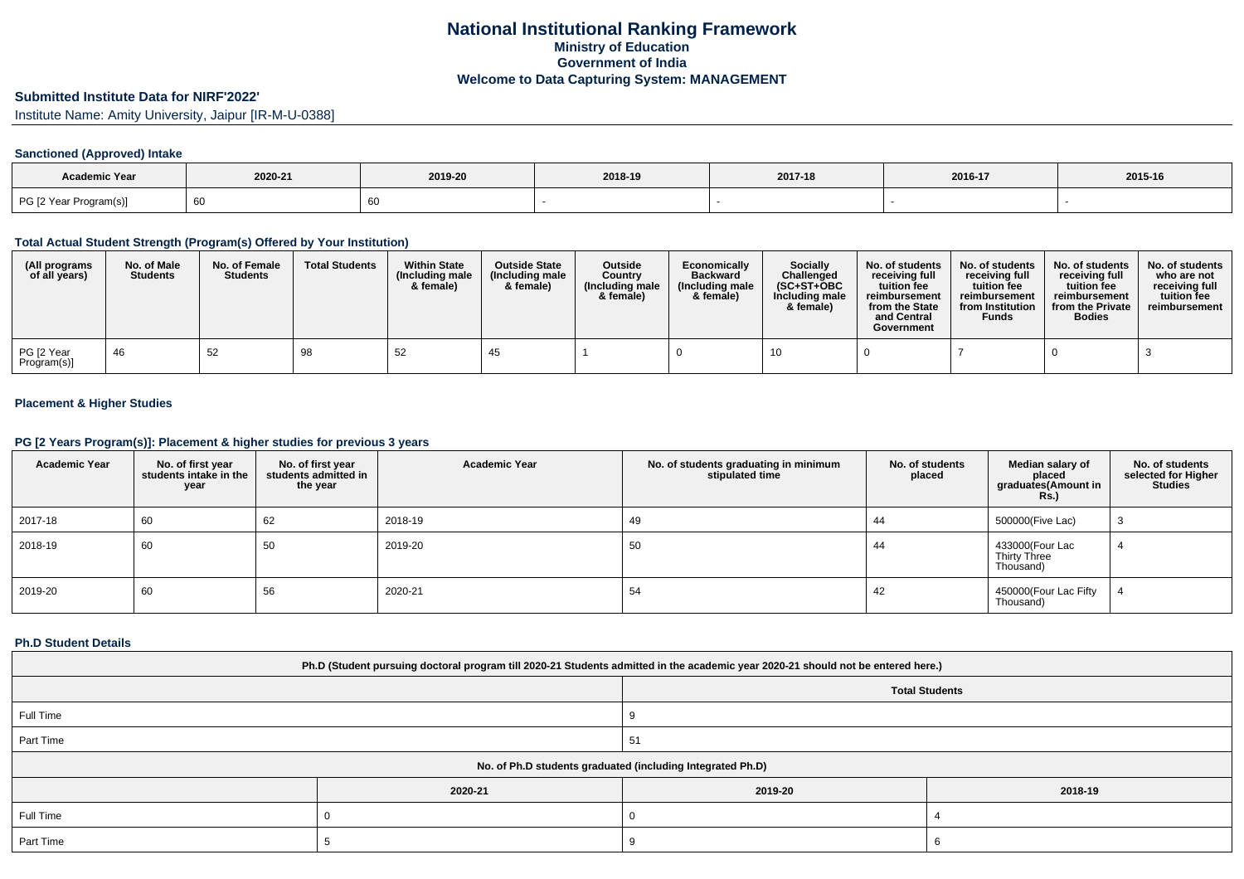# **Submitted Institute Data for NIRF'2022'**

Institute Name: Amity University, Jaipur [IR-M-U-0388]

### **Sanctioned (Approved) Intake**

| <b>Academic Year</b>   |         |         |         |         |         |         |
|------------------------|---------|---------|---------|---------|---------|---------|
|                        | 2020-21 | 2019-20 | 2018-19 | 2017-18 | 2016-17 | 2015-16 |
| PG [2 Year Program(s)] | 60      |         |         |         |         |         |

### **Total Actual Student Strength (Program(s) Offered by Your Institution)**

| (All programs<br>of all years) | No. of Male<br><b>Students</b> | No. of Female<br><b>Students</b> | <b>Total Students</b> | <b>Within State</b><br>(Including male<br>& female) | <b>Outside State</b><br>(Including male)<br>& female) | <b>Outside</b><br>Country<br>(Including male<br>& female) | Economically<br><b>Backward</b><br>(Including male<br>& female) | <b>Socially</b><br>Challenged<br>$(SC+ST+OBC)$<br>Including male<br>& female) | No. of students<br>receivina full<br>tuition fee<br>reimbursement<br>from the State<br>and Central<br>Government | No. of students<br>receiving full<br>tuition fee<br>reimbursement<br>from Institution<br><b>Funds</b> | No. of students<br>receiving full<br>tuition fee<br>reimbursement<br>from the Private<br><b>Bodies</b> | No. of students<br>who are not<br>receiving full<br>tuition fee<br>reimbursement |
|--------------------------------|--------------------------------|----------------------------------|-----------------------|-----------------------------------------------------|-------------------------------------------------------|-----------------------------------------------------------|-----------------------------------------------------------------|-------------------------------------------------------------------------------|------------------------------------------------------------------------------------------------------------------|-------------------------------------------------------------------------------------------------------|--------------------------------------------------------------------------------------------------------|----------------------------------------------------------------------------------|
| PG [2 Year<br>Program(s)]      | 46                             | 52                               | 98                    | 52                                                  |                                                       |                                                           |                                                                 |                                                                               |                                                                                                                  |                                                                                                       |                                                                                                        |                                                                                  |

### **Placement & Higher Studies**

### **PG [2 Years Program(s)]: Placement & higher studies for previous 3 years**

| <b>Academic Year</b> | No. of first year<br>students intake in the<br>year | No. of first year<br>students admitted in<br>the year | <b>Academic Year</b> | No. of students graduating in minimum<br>stipulated time | No. of students<br>placed | Median salary of<br>placed<br>graduates(Amount in<br><b>Rs.)</b> | No. of students<br>selected for Higher<br><b>Studies</b> |
|----------------------|-----------------------------------------------------|-------------------------------------------------------|----------------------|----------------------------------------------------------|---------------------------|------------------------------------------------------------------|----------------------------------------------------------|
| 2017-18              | 60                                                  | 62                                                    | 2018-19              | 49                                                       | 44                        | 500000(Five Lac)                                                 |                                                          |
| 2018-19              | 60                                                  | 50                                                    | 2019-20              | 50                                                       | 44                        | 433000(Four Lac<br>Thirty Three<br>Thousand)                     |                                                          |
| 2019-20              | 60                                                  | 56                                                    | 2020-21              | 54                                                       | 42                        | 450000(Four Lac Fifty<br>Thousand)                               |                                                          |

### **Ph.D Student Details**

| Ph.D (Student pursuing doctoral program till 2020-21 Students admitted in the academic year 2020-21 should not be entered here.) |                                                            |         |         |  |  |  |  |
|----------------------------------------------------------------------------------------------------------------------------------|------------------------------------------------------------|---------|---------|--|--|--|--|
| <b>Total Students</b>                                                                                                            |                                                            |         |         |  |  |  |  |
| Full Time                                                                                                                        |                                                            |         |         |  |  |  |  |
| Part Time                                                                                                                        |                                                            | 51      |         |  |  |  |  |
|                                                                                                                                  | No. of Ph.D students graduated (including Integrated Ph.D) |         |         |  |  |  |  |
|                                                                                                                                  | 2020-21                                                    | 2019-20 | 2018-19 |  |  |  |  |
| Full Time                                                                                                                        |                                                            |         |         |  |  |  |  |
| Part Time                                                                                                                        |                                                            |         |         |  |  |  |  |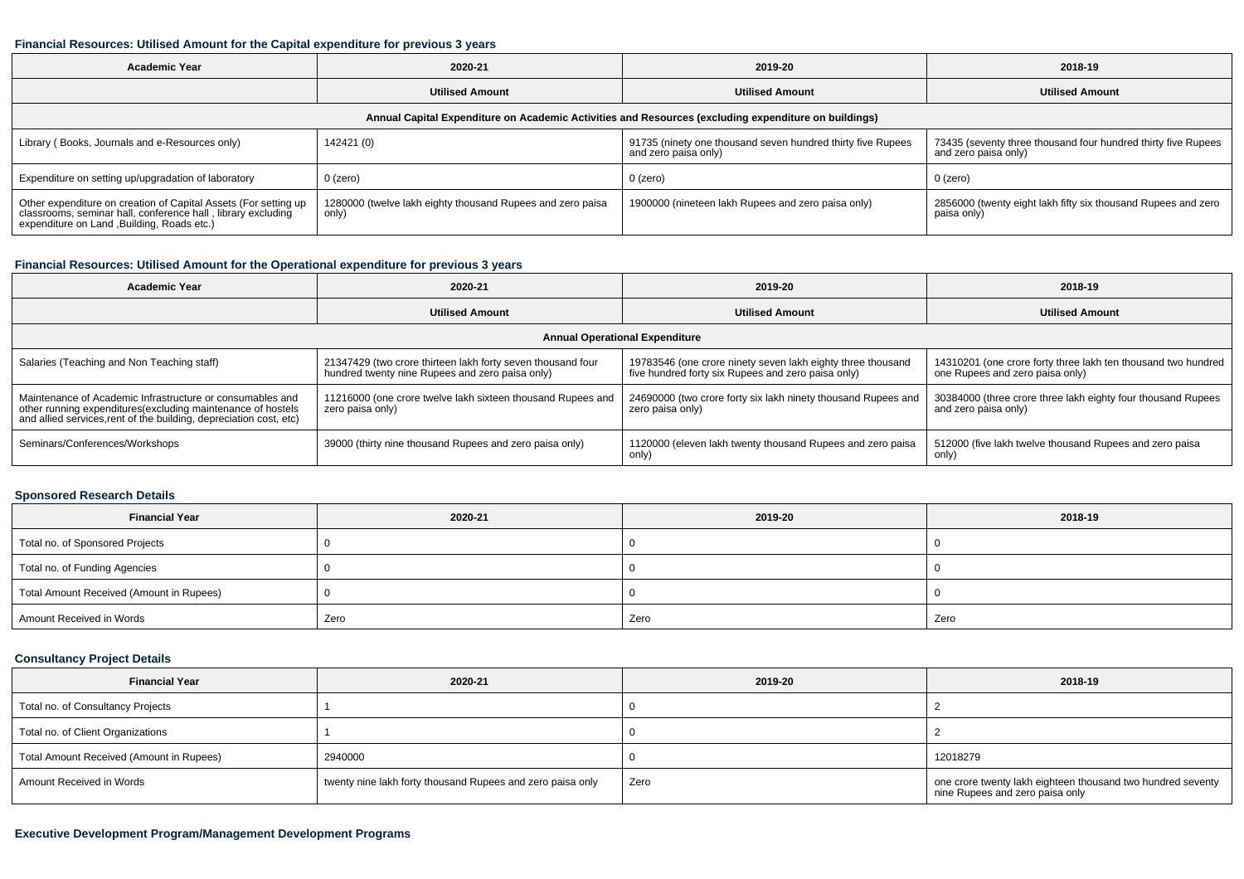#### **Financial Resources: Utilised Amount for the Capital expenditure for previous 3 years**

| <b>Academic Year</b>                                                                                                                                                           | 2020-21                                                             | 2019-20                                                                             | 2018-19                                                                               |  |  |  |  |  |  |
|--------------------------------------------------------------------------------------------------------------------------------------------------------------------------------|---------------------------------------------------------------------|-------------------------------------------------------------------------------------|---------------------------------------------------------------------------------------|--|--|--|--|--|--|
|                                                                                                                                                                                | <b>Utilised Amount</b>                                              | <b>Utilised Amount</b>                                                              | <b>Utilised Amount</b>                                                                |  |  |  |  |  |  |
| Annual Capital Expenditure on Academic Activities and Resources (excluding expenditure on buildings)                                                                           |                                                                     |                                                                                     |                                                                                       |  |  |  |  |  |  |
| Library (Books, Journals and e-Resources only)                                                                                                                                 | 142421 (0)                                                          | 91735 (ninety one thousand seven hundred thirty five Rupees<br>and zero paisa only) | 73435 (seventy three thousand four hundred thirty five Rupees<br>and zero paisa only) |  |  |  |  |  |  |
| Expenditure on setting up/upgradation of laboratory                                                                                                                            | 0 (zero)                                                            | $0$ (zero)                                                                          | 0 (zero)                                                                              |  |  |  |  |  |  |
| Other expenditure on creation of Capital Assets (For setting up<br>classrooms, seminar hall, conference hall, library excluding<br>expenditure on Land , Building, Roads etc.) | 1280000 (twelve lakh eighty thousand Rupees and zero paisa<br>only) | 1900000 (nineteen lakh Rupees and zero paisa only)                                  | 2856000 (twenty eight lakh fifty six thousand Rupees and zero<br>paisa only)          |  |  |  |  |  |  |

# **Financial Resources: Utilised Amount for the Operational expenditure for previous 3 years**

| Academic Year                                                                                                                                                                                  | 2020-21                                                                                                        | 2019-20                                                                                                           | 2018-19                                                                                          |  |  |  |  |  |
|------------------------------------------------------------------------------------------------------------------------------------------------------------------------------------------------|----------------------------------------------------------------------------------------------------------------|-------------------------------------------------------------------------------------------------------------------|--------------------------------------------------------------------------------------------------|--|--|--|--|--|
|                                                                                                                                                                                                | <b>Utilised Amount</b>                                                                                         | <b>Utilised Amount</b>                                                                                            | <b>Utilised Amount</b>                                                                           |  |  |  |  |  |
| <b>Annual Operational Expenditure</b>                                                                                                                                                          |                                                                                                                |                                                                                                                   |                                                                                                  |  |  |  |  |  |
| Salaries (Teaching and Non Teaching staff)                                                                                                                                                     | 21347429 (two crore thirteen lakh forty seven thousand four<br>hundred twenty nine Rupees and zero paisa only) | 19783546 (one crore ninety seven lakh eighty three thousand<br>five hundred forty six Rupees and zero paisa only) | 14310201 (one crore forty three lakh ten thousand two hundred<br>one Rupees and zero paisa only) |  |  |  |  |  |
| Maintenance of Academic Infrastructure or consumables and<br>other running expenditures(excluding maintenance of hostels<br>and allied services, rent of the building, depreciation cost, etc) | 11216000 (one crore twelve lakh sixteen thousand Rupees and<br>zero paisa only)                                | 24690000 (two crore forty six lakh ninety thousand Rupees and<br>zero paisa only)                                 | 30384000 (three crore three lakh eighty four thousand Rupees<br>and zero paisa only)             |  |  |  |  |  |
| Seminars/Conferences/Workshops                                                                                                                                                                 | 39000 (thirty nine thousand Rupees and zero paisa only)                                                        | 1120000 (eleven lakh twenty thousand Rupees and zero paisa<br>only)                                               | 512000 (five lakh twelve thousand Rupees and zero paisa<br>only)                                 |  |  |  |  |  |

# **Sponsored Research Details**

| <b>Financial Year</b>                    | 2020-21 | 2019-20 | 2018-19 |
|------------------------------------------|---------|---------|---------|
| Total no. of Sponsored Projects          |         |         |         |
| Total no. of Funding Agencies            |         |         |         |
| Total Amount Received (Amount in Rupees) |         |         |         |
| Amount Received in Words                 | Zero    | Zero    | Zero    |

# **Consultancy Project Details**

| <b>Financial Year</b>                    | 2020-21                                                    | 2019-20 | 2018-19                                                                                        |
|------------------------------------------|------------------------------------------------------------|---------|------------------------------------------------------------------------------------------------|
| Total no. of Consultancy Projects        |                                                            |         |                                                                                                |
| Total no. of Client Organizations        |                                                            |         |                                                                                                |
| Total Amount Received (Amount in Rupees) | 2940000                                                    |         | 12018279                                                                                       |
| Amount Received in Words                 | twenty nine lakh forty thousand Rupees and zero paisa only | Zero    | one crore twenty lakh eighteen thousand two hundred seventy<br>nine Rupees and zero paisa only |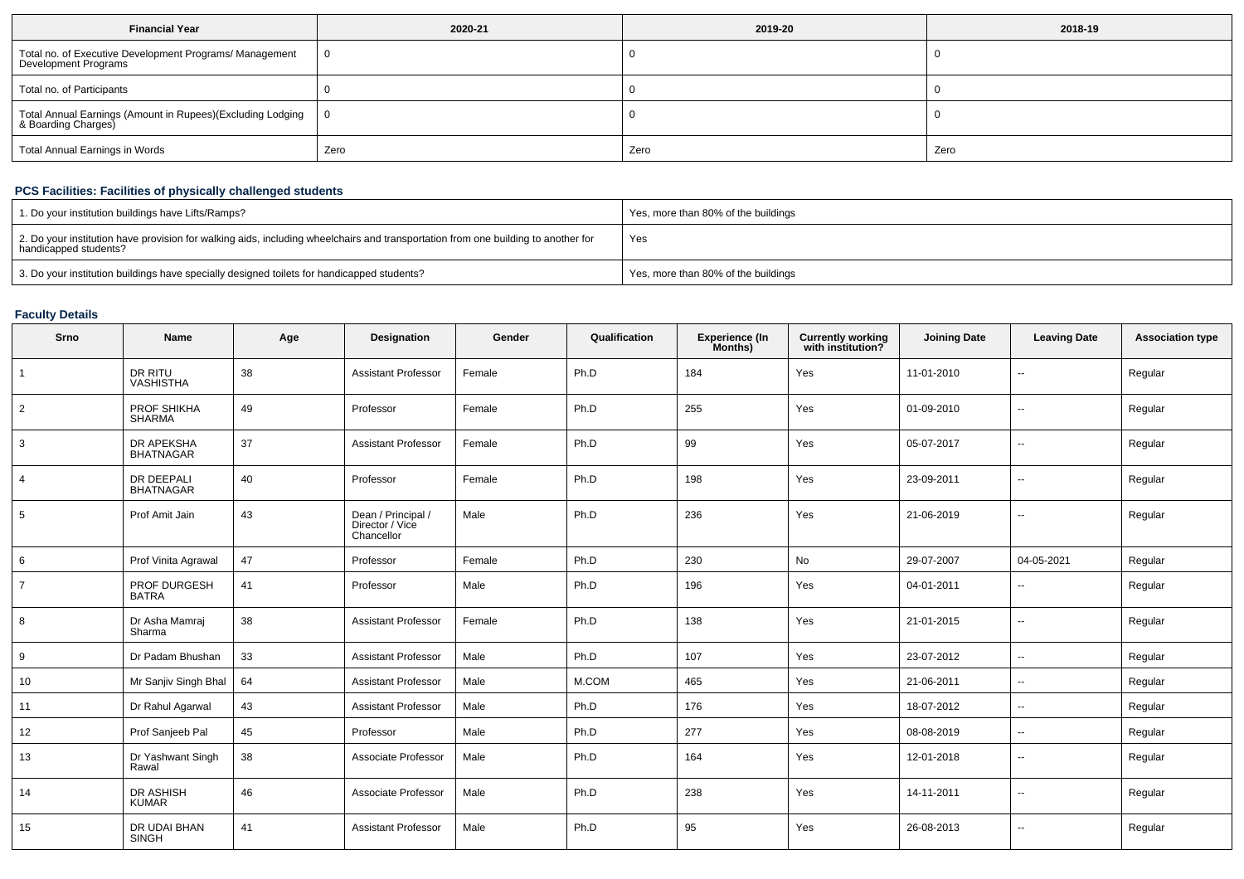| <b>Financial Year</b>                                                             | 2020-21 | 2019-20 | 2018-19 |
|-----------------------------------------------------------------------------------|---------|---------|---------|
| Total no. of Executive Development Programs/ Management<br>Development Programs   |         |         |         |
| Total no. of Participants                                                         |         |         |         |
| Total Annual Earnings (Amount in Rupees)(Excluding Lodging<br>& Boarding Charges) |         |         |         |
| <b>Total Annual Earnings in Words</b>                                             | Zero    | Zero    | Zero    |

## **PCS Facilities: Facilities of physically challenged students**

| 1. Do your institution buildings have Lifts/Ramps?                                                                                                         | Yes, more than 80% of the buildings |
|------------------------------------------------------------------------------------------------------------------------------------------------------------|-------------------------------------|
| 2. Do your institution have provision for walking aids, including wheelchairs and transportation from one building to another for<br>handicapped students? | Yes                                 |
| 3. Do your institution buildings have specially designed toilets for handicapped students?                                                                 | Yes, more than 80% of the buildings |

# **Faculty Details**

| Srno           | Name                                  | Age | Designation                                         | Gender | Qualification | <b>Experience (In</b><br>Months) | <b>Currently working</b><br>with institution? | <b>Joining Date</b> | <b>Leaving Date</b>      | <b>Association type</b> |
|----------------|---------------------------------------|-----|-----------------------------------------------------|--------|---------------|----------------------------------|-----------------------------------------------|---------------------|--------------------------|-------------------------|
| $\overline{1}$ | DR RITU<br><b>VASHISTHA</b>           | 38  | <b>Assistant Professor</b>                          | Female | Ph.D          | 184                              | Yes                                           | 11-01-2010          | $\overline{\phantom{a}}$ | Regular                 |
| $\overline{2}$ | PROF SHIKHA<br><b>SHARMA</b>          | 49  | Professor                                           | Female | Ph.D          | 255                              | Yes                                           | 01-09-2010          | ۰.                       | Regular                 |
| 3              | DR APEKSHA<br><b>BHATNAGAR</b>        | 37  | <b>Assistant Professor</b>                          | Female | Ph.D          | 99                               | Yes                                           | 05-07-2017          | $\overline{\phantom{a}}$ | Regular                 |
| $\overline{4}$ | <b>DR DEEPALI</b><br><b>BHATNAGAR</b> | 40  | Professor                                           | Female | Ph.D          | 198                              | Yes                                           | 23-09-2011          | ۰.                       | Regular                 |
| 5              | Prof Amit Jain                        | 43  | Dean / Principal /<br>Director / Vice<br>Chancellor | Male   | Ph.D          | 236                              | Yes                                           | 21-06-2019          | $\overline{\phantom{a}}$ | Regular                 |
| 6              | Prof Vinita Agrawal                   | 47  | Professor                                           | Female | Ph.D          | 230                              | No                                            | 29-07-2007          | 04-05-2021               | Regular                 |
| $\overline{7}$ | PROF DURGESH<br><b>BATRA</b>          | 41  | Professor                                           | Male   | Ph.D          | 196                              | Yes                                           | 04-01-2011          | $\overline{\phantom{a}}$ | Regular                 |
| 8              | Dr Asha Mamraj<br>Sharma              | 38  | <b>Assistant Professor</b>                          | Female | Ph.D          | 138                              | Yes                                           | 21-01-2015          | $\overline{\phantom{a}}$ | Regular                 |
| 9              | Dr Padam Bhushan                      | 33  | <b>Assistant Professor</b>                          | Male   | Ph.D          | 107                              | Yes                                           | 23-07-2012          | $\sim$                   | Regular                 |
| 10             | Mr Sanjiv Singh Bhal                  | 64  | <b>Assistant Professor</b>                          | Male   | M.COM         | 465                              | Yes                                           | 21-06-2011          | $\sim$                   | Regular                 |
| 11             | Dr Rahul Agarwal                      | 43  | <b>Assistant Professor</b>                          | Male   | Ph.D          | 176                              | Yes                                           | 18-07-2012          | $\overline{\phantom{a}}$ | Regular                 |
| 12             | Prof Sanjeeb Pal                      | 45  | Professor                                           | Male   | Ph.D          | 277                              | Yes                                           | 08-08-2019          | $\overline{\phantom{a}}$ | Regular                 |
| 13             | Dr Yashwant Singh<br>Rawal            | 38  | Associate Professor                                 | Male   | Ph.D          | 164                              | Yes                                           | 12-01-2018          | $\sim$                   | Regular                 |
| 14             | DR ASHISH<br><b>KUMAR</b>             | 46  | Associate Professor                                 | Male   | Ph.D          | 238                              | Yes                                           | 14-11-2011          | $\sim$                   | Regular                 |
| 15             | DR UDAI BHAN<br>SINGH                 | 41  | <b>Assistant Professor</b>                          | Male   | Ph.D          | 95                               | Yes                                           | 26-08-2013          | $\sim$                   | Regular                 |